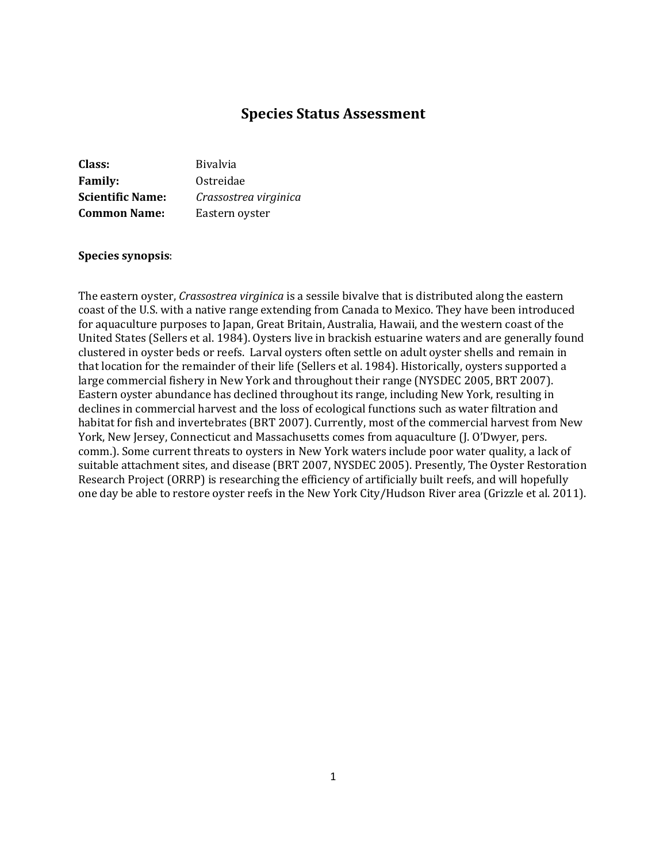# **Species Status Assessment**

| Class:                  | <b>Bivalvia</b>       |
|-------------------------|-----------------------|
| <b>Family:</b>          | Ostreidae             |
| <b>Scientific Name:</b> | Crassostrea virginica |
| <b>Common Name:</b>     | Eastern oyster        |

#### **Species synopsis**:

The eastern oyster, *Crassostrea virginica* is a sessile bivalve that is distributed along the eastern coast of the U.S. with a native range extending from Canada to Mexico. They have been introduced for aquaculture purposes to Japan, Great Britain, Australia, Hawaii, and the western coast of the United States (Sellers et al. 1984). Oysters live in brackish estuarine waters and are generally found clustered in oyster beds or reefs. Larval oysters often settle on adult oyster shells and remain in that location for the remainder of their life (Sellers et al. 1984). Historically, oysters supported a large commercial fishery in New York and throughout their range (NYSDEC 2005, BRT 2007). Eastern oyster abundance has declined throughout its range, including New York, resulting in declines in commercial harvest and the loss of ecological functions such as water filtration and habitat for fish and invertebrates (BRT 2007). Currently, most of the commercial harvest from New York, New Jersey, Connecticut and Massachusetts comes from aquaculture (J. O'Dwyer, pers. comm.). Some current threats to oysters in New York waters include poor water quality, a lack of suitable attachment sites, and disease (BRT 2007, NYSDEC 2005). Presently, The Oyster Restoration Research Project (ORRP) is researching the efficiency of artificially built reefs, and will hopefully one day be able to restore oyster reefs in the New York City/Hudson River area (Grizzle et al. 2011).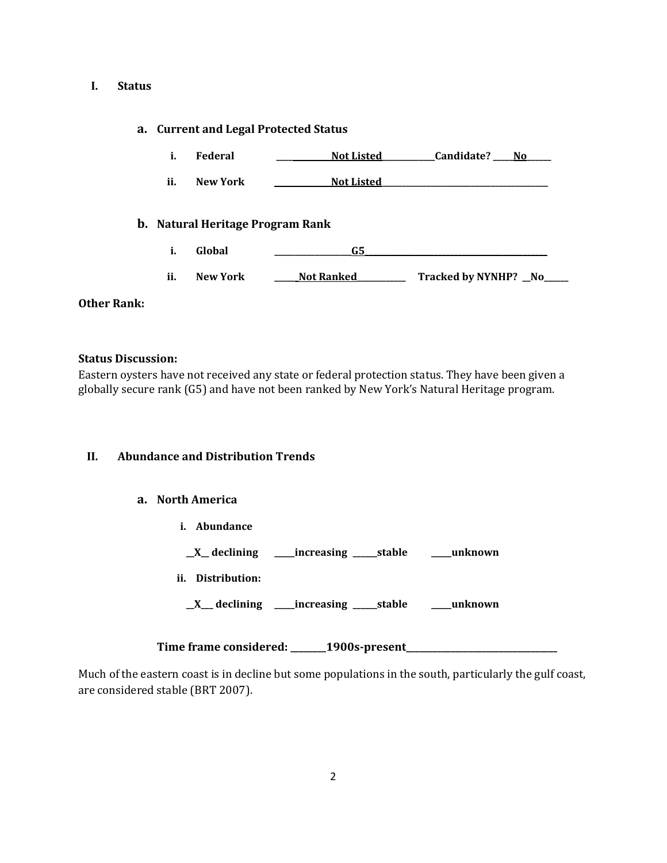# **I. Status**

## **a. Current and Legal Protected Status**

|     | i.<br><b>Federal</b>             | <b>Not Listed</b> | Candidate? No          |
|-----|----------------------------------|-------------------|------------------------|
| ii. | <b>New York</b>                  | <b>Not Listed</b> |                        |
|     | b. Natural Heritage Program Rank |                   |                        |
|     | i.<br>Global                     | G5                |                        |
| ii. | <b>New York</b>                  | <b>Not Ranked</b> | Tracked by NYNHP? _No_ |

## **Other Rank:**

### **Status Discussion:**

Eastern oysters have not received any state or federal protection status. They have been given a globally secure rank (G5) and have not been ranked by New York's Natural Heritage program.

# **II. Abundance and Distribution Trends**

# **a. North America**

**i. Abundance**

**\_\_X\_\_ declining \_\_\_\_\_increasing \_\_\_\_\_\_stable \_\_\_\_\_unknown**

**ii. Distribution:**

**\_\_X\_\_\_ declining \_\_\_\_\_increasing \_\_\_\_\_\_stable \_\_\_\_\_unknown**

**Time frame considered: \_\_\_\_\_\_\_\_1900s-present\_\_\_\_\_\_\_\_\_\_\_\_\_\_\_\_\_\_\_\_\_\_\_\_\_\_\_\_\_\_\_\_\_\_**

Much of the eastern coast is in decline but some populations in the south, particularly the gulf coast, are considered stable (BRT 2007).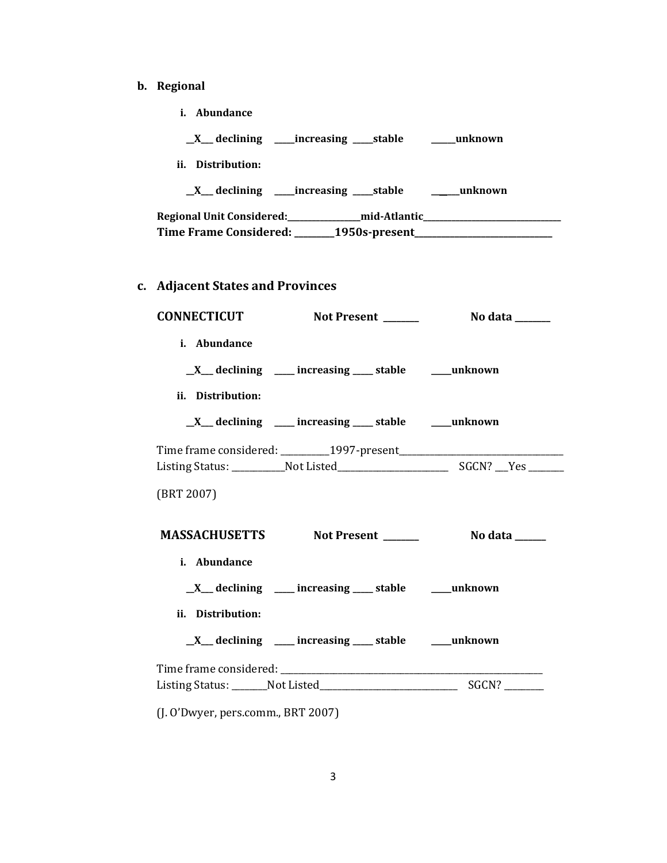- **b. Regional** 
	- **i. Abundance**

**\_\_X\_\_\_ declining \_\_\_\_\_increasing \_\_\_\_\_stable \_\_\_\_\_\_unknown**

**ii. Distribution:**

**\_\_X\_\_\_ declining \_\_\_\_\_increasing \_\_\_\_\_stable \_\_\_\_\_\_\_unknown**

**Regional Unit Considered:\_\_\_\_\_\_\_\_\_\_\_\_\_\_\_\_\_\_mid-Atlantic\_\_\_\_\_\_\_\_\_\_\_\_\_\_\_\_\_\_\_\_\_\_\_\_\_\_\_\_\_\_\_\_\_\_ Time Frame Considered: \_\_\_\_\_\_\_\_\_1950s-present\_\_\_\_\_\_\_\_\_\_\_\_\_\_\_\_\_\_\_\_\_\_\_\_\_\_\_\_\_\_\_**

# **c. Adjacent States and Provinces**

| i. Abundance      |                                                                    |  |
|-------------------|--------------------------------------------------------------------|--|
|                   | $X$ declining $\qquad$ increasing $\qquad$ stable $\qquad$ unknown |  |
| ii. Distribution: |                                                                    |  |
|                   | _X__ declining ____ increasing ____ stable ____ unknown            |  |
|                   |                                                                    |  |
|                   |                                                                    |  |
| (BRT 2007)        |                                                                    |  |
|                   |                                                                    |  |
|                   | MASSACHUSETTS Not Present _______ No data _____                    |  |
| i. Abundance      |                                                                    |  |
|                   | $X$ declining $\qquad$ increasing $\qquad$ stable $\qquad$ unknown |  |
| ii. Distribution: |                                                                    |  |
|                   | $X$ declining ___ increasing ___ stable ___ unknown                |  |
|                   |                                                                    |  |
|                   |                                                                    |  |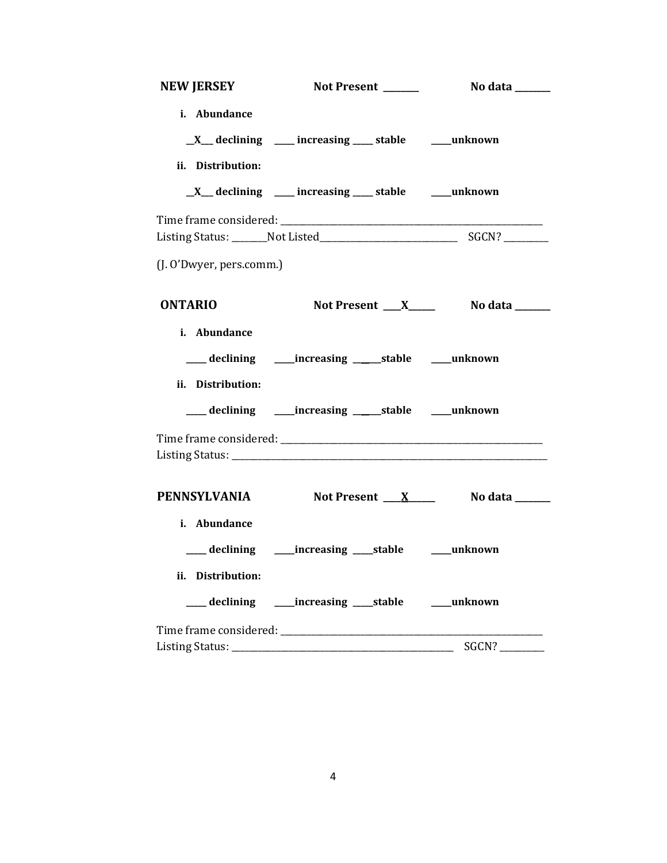| <b>NEW JERSEY</b>        | Not Present ______                                                 | <b>No data</b> ______            |
|--------------------------|--------------------------------------------------------------------|----------------------------------|
| i. Abundance             |                                                                    |                                  |
|                          | $X$ declining $\qquad$ increasing $\qquad$ stable $\qquad$ unknown |                                  |
| ii. Distribution:        |                                                                    |                                  |
|                          | $X$ declining ____ increasing ____ stable ____ unknown             |                                  |
|                          |                                                                    |                                  |
|                          |                                                                    |                                  |
| (J. O'Dwyer, pers.comm.) |                                                                    |                                  |
| <b>ONTARIO</b>           |                                                                    |                                  |
| i. Abundance             |                                                                    |                                  |
|                          | ___ declining _____increasing ______stable _____unknown            |                                  |
| ii. Distribution:        |                                                                    |                                  |
|                          | ___ declining _____ increasing ______ stable _____ unknown         |                                  |
|                          |                                                                    |                                  |
| <b>PENNSYLVANIA</b>      |                                                                    | Not Present $X$ No data ________ |
| i. Abundance             |                                                                    |                                  |
|                          | ___ declining _____increasing ____stable _____unknown              |                                  |
| ii. Distribution:        |                                                                    |                                  |
|                          | ___ declining ______increasing _____stable _______unknown          |                                  |
|                          |                                                                    |                                  |
|                          |                                                                    | SGCN?                            |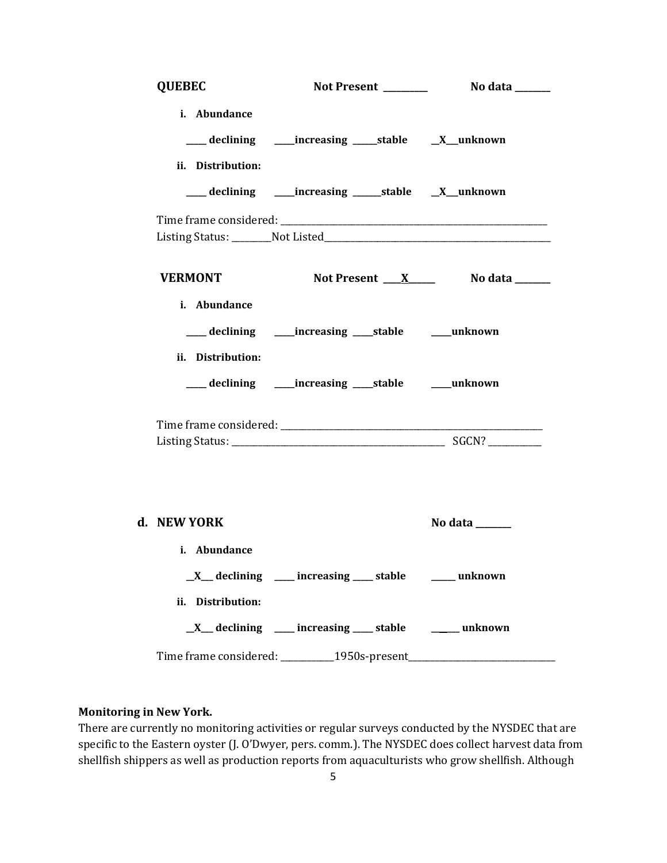| <b>QUEBEC</b>                     |                                                                                  |                             |
|-----------------------------------|----------------------------------------------------------------------------------|-----------------------------|
| i. Abundance<br>ii. Distribution: | ___ declining _____increasing _____stable ___X__unknown                          |                             |
|                                   | ___ declining _____increasing ______stable __X__unknown                          |                             |
|                                   |                                                                                  |                             |
| <b>VERMONT</b>                    |                                                                                  | Not Present $X$ No data $X$ |
| i. Abundance<br>ii. Distribution: |                                                                                  |                             |
|                                   | ___ declining _____increasing ____stable ______unknown                           |                             |
|                                   |                                                                                  |                             |
| d. NEW YORK<br>i. Abundance       |                                                                                  | No data ______              |
| ii. Distribution:                 | _X__ declining ____ increasing ___ stable ____ unknown                           |                             |
|                                   | $X$ declining ___ increasing ___ stable ___ unknown                              |                             |
|                                   | Time frame considered: __________1950s-present__________________________________ |                             |

## **Monitoring in New York.**

There are currently no monitoring activities or regular surveys conducted by the NYSDEC that are specific to the Eastern oyster (J. O'Dwyer, pers. comm.). The NYSDEC does collect harvest data from shellfish shippers as well as production reports from aquaculturists who grow shellfish. Although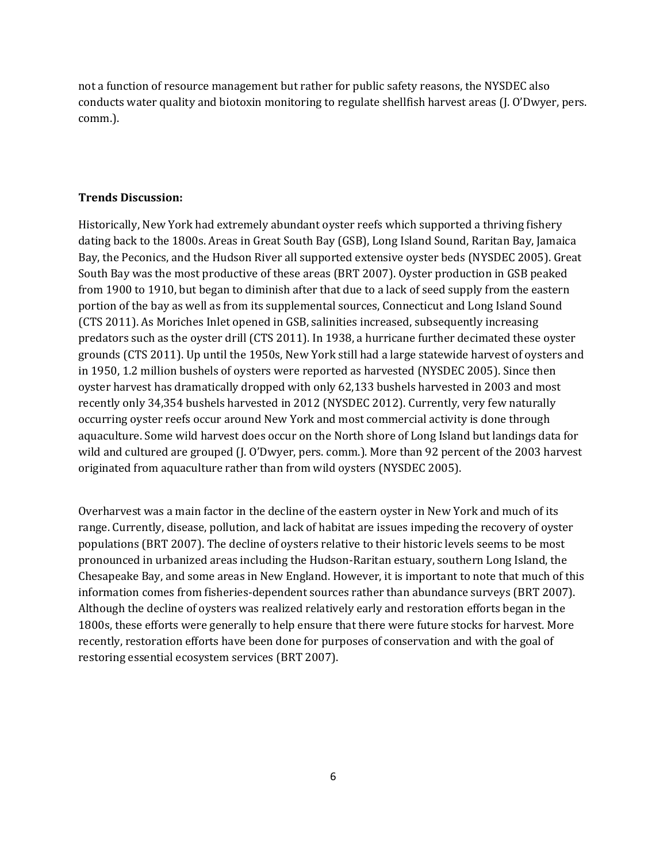not a function of resource management but rather for public safety reasons, the NYSDEC also conducts water quality and biotoxin monitoring to regulate shellfish harvest areas (J. O'Dwyer, pers. comm.).

## **Trends Discussion:**

Historically, New York had extremely abundant oyster reefs which supported a thriving fishery dating back to the 1800s. Areas in Great South Bay (GSB), Long Island Sound, Raritan Bay, Jamaica Bay, the Peconics, and the Hudson River all supported extensive oyster beds (NYSDEC 2005). Great South Bay was the most productive of these areas (BRT 2007). Oyster production in GSB peaked from 1900 to 1910, but began to diminish after that due to a lack of seed supply from the eastern portion of the bay as well as from its supplemental sources, Connecticut and Long Island Sound (CTS 2011). As Moriches Inlet opened in GSB, salinities increased, subsequently increasing predators such as the oyster drill (CTS 2011). In 1938, a hurricane further decimated these oyster grounds (CTS 2011). Up until the 1950s, New York still had a large statewide harvest of oysters and in 1950, 1.2 million bushels of oysters were reported as harvested (NYSDEC 2005). Since then oyster harvest has dramatically dropped with only 62,133 bushels harvested in 2003 and most recently only 34,354 bushels harvested in 2012 (NYSDEC 2012). Currently, very few naturally occurring oyster reefs occur around New York and most commercial activity is done through aquaculture. Some wild harvest does occur on the North shore of Long Island but landings data for wild and cultured are grouped (J. O'Dwyer, pers. comm.). More than 92 percent of the 2003 harvest originated from aquaculture rather than from wild oysters (NYSDEC 2005).

Overharvest was a main factor in the decline of the eastern oyster in New York and much of its range. Currently, disease, pollution, and lack of habitat are issues impeding the recovery of oyster populations (BRT 2007). The decline of oysters relative to their historic levels seems to be most pronounced in urbanized areas including the Hudson-Raritan estuary, southern Long Island, the Chesapeake Bay, and some areas in New England. However, it is important to note that much of this information comes from fisheries-dependent sources rather than abundance surveys (BRT 2007). Although the decline of oysters was realized relatively early and restoration efforts began in the 1800s, these efforts were generally to help ensure that there were future stocks for harvest. More recently, restoration efforts have been done for purposes of conservation and with the goal of restoring essential ecosystem services (BRT 2007).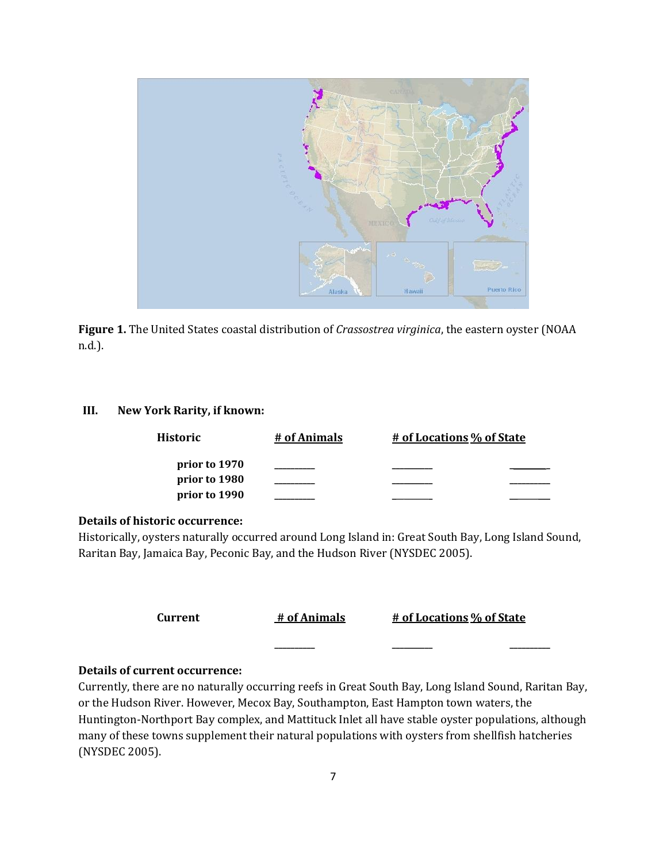

**Figure 1.** The United States coastal distribution of *Crassostrea virginica*, the eastern oyster (NOAA n.d.).

# **III. New York Rarity, if known:**

| Historic                       | # of Animals | # of Locations % of State |
|--------------------------------|--------------|---------------------------|
| prior to 1970<br>prior to 1980 |              |                           |
| prior to 1990                  |              |                           |

## **Details of historic occurrence:**

Historically, oysters naturally occurred around Long Island in: Great South Bay, Long Island Sound, Raritan Bay, Jamaica Bay, Peconic Bay, and the Hudson River (NYSDEC 2005).

| Current | # of Animals | # of Locations % of State |  |
|---------|--------------|---------------------------|--|
|         |              |                           |  |

#### **Details of current occurrence:**

Currently, there are no naturally occurring reefs in Great South Bay, Long Island Sound, Raritan Bay, or the Hudson River. However, Mecox Bay, Southampton, East Hampton town waters, the Huntington-Northport Bay complex, and Mattituck Inlet all have stable oyster populations, although many of these towns supplement their natural populations with oysters from shellfish hatcheries (NYSDEC 2005).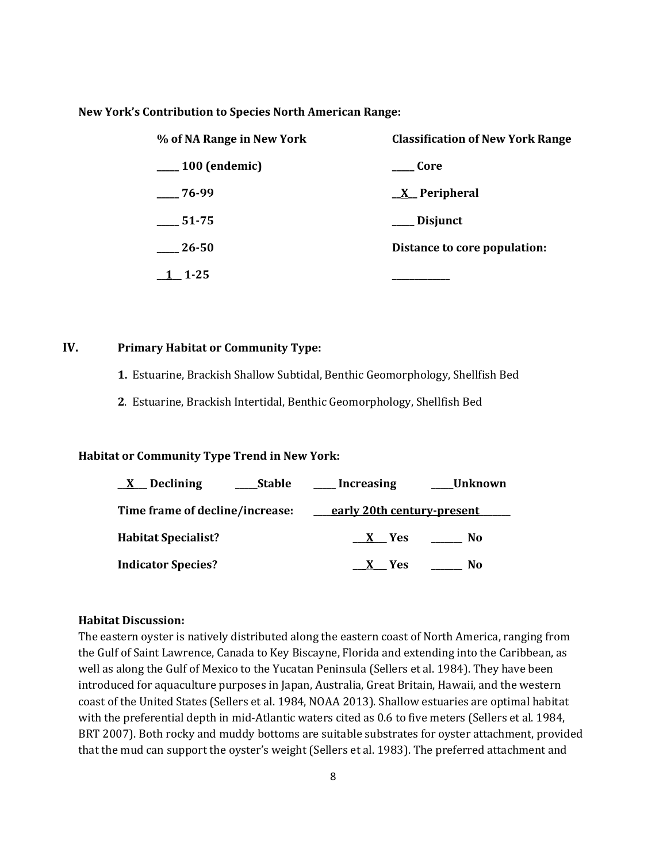#### **New York's Contribution to Species North American Range:**

| % of NA Range in New York | <b>Classification of New York Range</b> |
|---------------------------|-----------------------------------------|
| $\frac{100}{2}$ (endemic) | <b>Core</b>                             |
| $-76-99$                  | <u>X</u> Peripheral                     |
| $\frac{1}{2}$ 51-75       | __ Disjunct                             |
| 26-50                     | Distance to core population:            |
| $1 - 1 - 25$              |                                         |

# **IV. Primary Habitat or Community Type:**

- **1.** Estuarine, Brackish Shallow Subtidal, Benthic Geomorphology, Shellfish Bed
- **2**. Estuarine, Brackish Intertidal, Benthic Geomorphology, Shellfish Bed

## **Habitat or Community Type Trend in New York:**

| Declining<br><b>Stable</b>      | <b>Unknown</b><br><b>Increasing</b> |
|---------------------------------|-------------------------------------|
| Time frame of decline/increase: | early 20th century-present          |
| <b>Habitat Specialist?</b>      | X Yes<br>No                         |
| <b>Indicator Species?</b>       | No.<br>- Yes                        |

#### **Habitat Discussion:**

The eastern oyster is natively distributed along the eastern coast of North America, ranging from the Gulf of Saint Lawrence, Canada to Key Biscayne, Florida and extending into the Caribbean, as well as along the Gulf of Mexico to the Yucatan Peninsula (Sellers et al. 1984). They have been introduced for aquaculture purposes in Japan, Australia, Great Britain, Hawaii, and the western coast of the United States (Sellers et al. 1984, NOAA 2013). Shallow estuaries are optimal habitat with the preferential depth in mid-Atlantic waters cited as 0.6 to five meters (Sellers et al. 1984, BRT 2007). Both rocky and muddy bottoms are suitable substrates for oyster attachment, provided that the mud can support the oyster's weight (Sellers et al. 1983). The preferred attachment and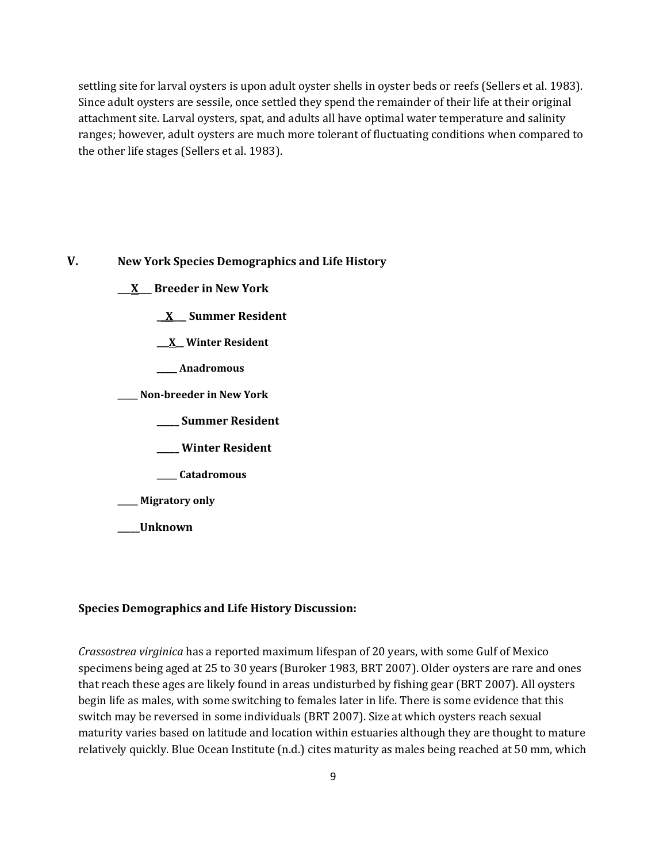settling site for larval oysters is upon adult oyster shells in oyster beds or reefs (Sellers et al. 1983). Since adult oysters are sessile, once settled they spend the remainder of their life at their original attachment site. Larval oysters, spat, and adults all have optimal water temperature and salinity ranges; however, adult oysters are much more tolerant of fluctuating conditions when compared to the other life stages (Sellers et al. 1983).

# **V. New York Species Demographics and Life History**

- **\_\_\_X\_\_\_ Breeder in New York**
	- **\_\_X\_\_\_ Summer Resident**
	- **\_\_\_X\_\_ Winter Resident**
	- **\_\_\_\_\_ Anadromous**
- **\_\_\_\_\_ Non-breeder in New York**
	- **\_\_\_\_\_ Summer Resident**
	- **\_\_\_\_\_ Winter Resident**
	- **\_\_\_\_\_ Catadromous**

**\_\_\_\_\_ Migratory only**

**\_\_\_\_\_Unknown**

### **Species Demographics and Life History Discussion:**

*Crassostrea virginica* has a reported maximum lifespan of 20 years, with some Gulf of Mexico specimens being aged at 25 to 30 years (Buroker 1983, BRT 2007). Older oysters are rare and ones that reach these ages are likely found in areas undisturbed by fishing gear (BRT 2007). All oysters begin life as males, with some switching to females later in life. There is some evidence that this switch may be reversed in some individuals (BRT 2007). Size at which oysters reach sexual maturity varies based on latitude and location within estuaries although they are thought to mature relatively quickly. Blue Ocean Institute (n.d.) cites maturity as males being reached at 50 mm, which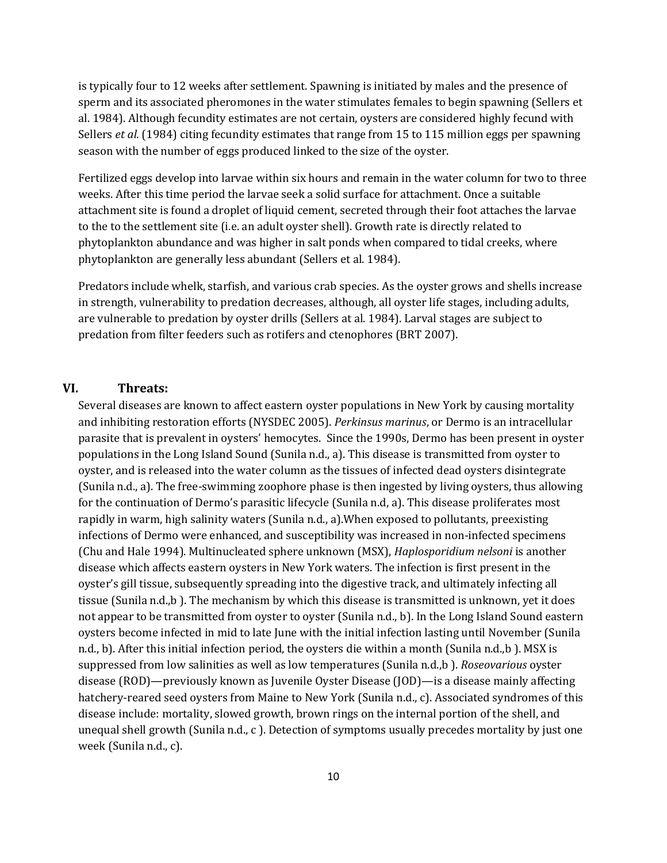is typically four to 12 weeks after settlement. Spawning is initiated by males and the presence of sperm and its associated pheromones in the water stimulates females to begin spawning (Sellers et al. 1984). Although fecundity estimates are not certain, oysters are considered highly fecund with Sellers *et al.* (1984) citing fecundity estimates that range from 15 to 115 million eggs per spawning season with the number of eggs produced linked to the size of the oyster.

Fertilized eggs develop into larvae within six hours and remain in the water column for two to three weeks. After this time period the larvae seek a solid surface for attachment. Once a suitable attachment site is found a droplet of liquid cement, secreted through their foot attaches the larvae to the to the settlement site (i.e. an adult oyster shell). Growth rate is directly related to phytoplankton abundance and was higher in salt ponds when compared to tidal creeks, where phytoplankton are generally less abundant (Sellers et al. 1984).

Predators include whelk, starfish, and various crab species. As the oyster grows and shells increase in strength, vulnerability to predation decreases, although, all oyster life stages, including adults, are vulnerable to predation by oyster drills (Sellers at al. 1984). Larval stages are subject to predation from filter feeders such as rotifers and ctenophores (BRT 2007).

## **VI. Threats:**

Several diseases are known to affect eastern oyster populations in New York by causing mortality and inhibiting restoration efforts (NYSDEC 2005). *Perkinsus marinus*, or Dermo is an intracellular parasite that is prevalent in oysters' hemocytes. Since the 1990s, Dermo has been present in oyster populations in the Long Island Sound (Sunila n.d., a). This disease is transmitted from oyster to oyster, and is released into the water column as the tissues of infected dead oysters disintegrate (Sunila n.d., a). The free-swimming zoophore phase is then ingested by living oysters, thus allowing for the continuation of Dermo's parasitic lifecycle (Sunila n.d, a). This disease proliferates most rapidly in warm, high salinity waters (Sunila n.d., a).When exposed to pollutants, preexisting infections of Dermo were enhanced, and susceptibility was increased in non-infected specimens (Chu and Hale 1994). Multinucleated sphere unknown (MSX), *Haplosporidium nelsoni* is another disease which affects eastern oysters in New York waters. The infection is first present in the oyster's gill tissue, subsequently spreading into the digestive track, and ultimately infecting all tissue (Sunila n.d.,b ). The mechanism by which this disease is transmitted is unknown, yet it does not appear to be transmitted from oyster to oyster (Sunila n.d., b). In the Long Island Sound eastern oysters become infected in mid to late June with the initial infection lasting until November (Sunila n.d., b). After this initial infection period, the oysters die within a month (Sunila n.d.,b ). MSX is suppressed from low salinities as well as low temperatures (Sunila n.d.,b ). *Roseovarious* oyster disease (ROD)—previously known as Juvenile Oyster Disease (JOD)—is a disease mainly affecting hatchery-reared seed oysters from Maine to New York (Sunila n.d., c). Associated syndromes of this disease include: mortality, slowed growth, brown rings on the internal portion of the shell, and unequal shell growth (Sunila n.d., c ). Detection of symptoms usually precedes mortality by just one week (Sunila n.d., c).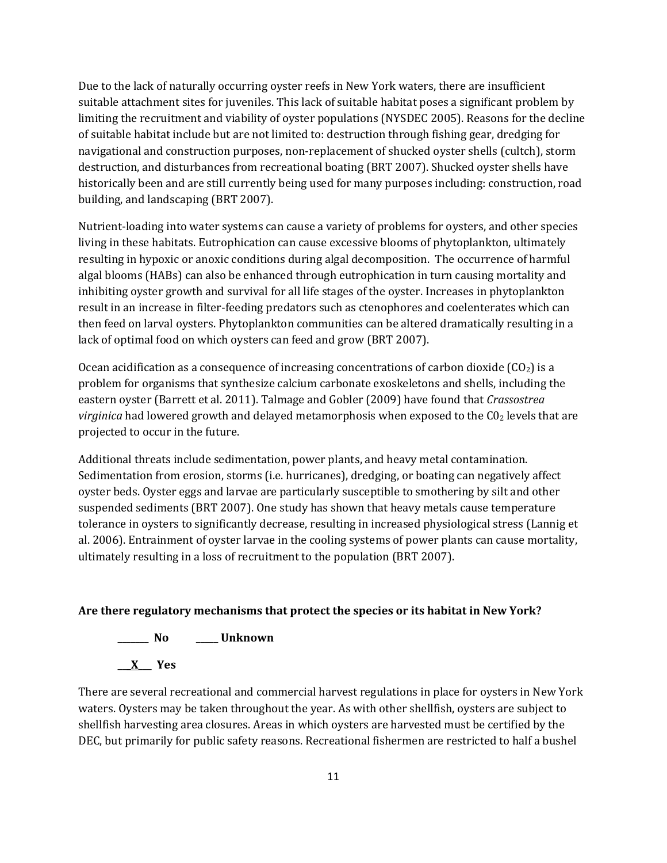Due to the lack of naturally occurring oyster reefs in New York waters, there are insufficient suitable attachment sites for juveniles. This lack of suitable habitat poses a significant problem by limiting the recruitment and viability of oyster populations (NYSDEC 2005). Reasons for the decline of suitable habitat include but are not limited to: destruction through fishing gear, dredging for navigational and construction purposes, non-replacement of shucked oyster shells (cultch), storm destruction, and disturbances from recreational boating (BRT 2007). Shucked oyster shells have historically been and are still currently being used for many purposes including: construction, road building, and landscaping (BRT 2007).

Nutrient-loading into water systems can cause a variety of problems for oysters, and other species living in these habitats. Eutrophication can cause excessive blooms of phytoplankton, ultimately resulting in hypoxic or anoxic conditions during algal decomposition. The occurrence of harmful algal blooms (HABs) can also be enhanced through eutrophication in turn causing mortality and inhibiting oyster growth and survival for all life stages of the oyster. Increases in phytoplankton result in an increase in filter-feeding predators such as ctenophores and coelenterates which can then feed on larval oysters. Phytoplankton communities can be altered dramatically resulting in a lack of optimal food on which oysters can feed and grow (BRT 2007).

Ocean acidification as a consequence of increasing concentrations of carbon dioxide  $(CO<sub>2</sub>)$  is a problem for organisms that synthesize calcium carbonate exoskeletons and shells, including the eastern oyster (Barrett et al. 2011). Talmage and Gobler (2009) have found that *Crassostrea virginica* had lowered growth and delayed metamorphosis when exposed to the CO<sub>2</sub> levels that are projected to occur in the future.

Additional threats include sedimentation, power plants, and heavy metal contamination. Sedimentation from erosion, storms (i.e. hurricanes), dredging, or boating can negatively affect oyster beds. Oyster eggs and larvae are particularly susceptible to smothering by silt and other suspended sediments (BRT 2007). One study has shown that heavy metals cause temperature tolerance in oysters to significantly decrease, resulting in increased physiological stress (Lannig et al. 2006). Entrainment of oyster larvae in the cooling systems of power plants can cause mortality, ultimately resulting in a loss of recruitment to the population (BRT 2007).

# **Are there regulatory mechanisms that protect the species or its habitat in New York?**

# **\_\_\_\_\_\_\_ No \_\_\_\_\_ Unknown**

**\_\_\_X\_\_\_ Yes** 

There are several recreational and commercial harvest regulations in place for oysters in New York waters. Oysters may be taken throughout the year. As with other shellfish, oysters are subject to shellfish harvesting area closures. Areas in which oysters are harvested must be certified by the DEC, but primarily for public safety reasons. Recreational fishermen are restricted to half a bushel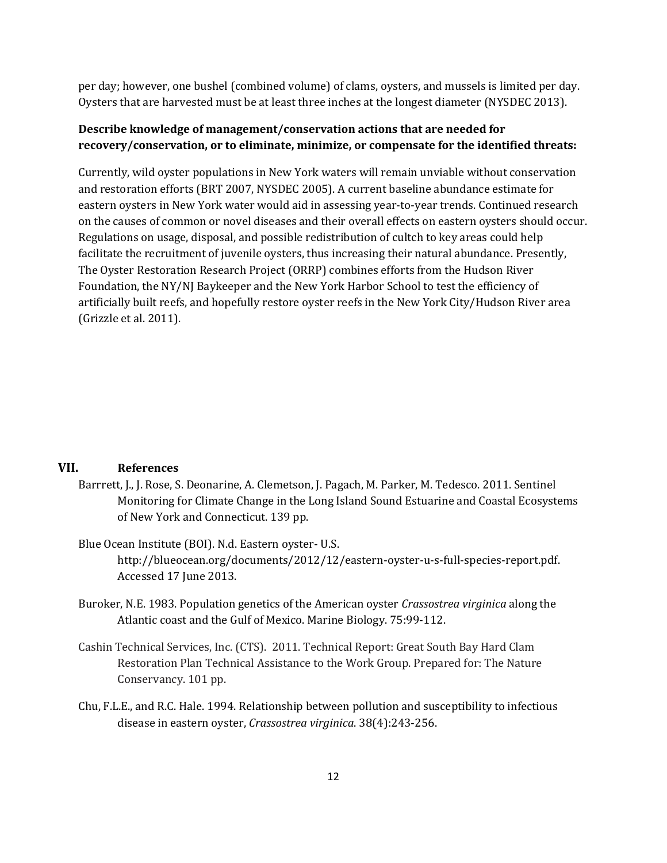per day; however, one bushel (combined volume) of clams, oysters, and mussels is limited per day. Oysters that are harvested must be at least three inches at the longest diameter (NYSDEC 2013).

# **Describe knowledge of management/conservation actions that are needed for recovery/conservation, or to eliminate, minimize, or compensate for the identified threats:**

Currently, wild oyster populations in New York waters will remain unviable without conservation and restoration efforts (BRT 2007, NYSDEC 2005). A current baseline abundance estimate for eastern oysters in New York water would aid in assessing year-to-year trends. Continued research on the causes of common or novel diseases and their overall effects on eastern oysters should occur. Regulations on usage, disposal, and possible redistribution of cultch to key areas could help facilitate the recruitment of juvenile oysters, thus increasing their natural abundance. Presently, The Oyster Restoration Research Project (ORRP) combines efforts from the Hudson River Foundation, the NY/NJ Baykeeper and the New York Harbor School to test the efficiency of artificially built reefs, and hopefully restore oyster reefs in the New York City/Hudson River area (Grizzle et al. 2011).

# **VII. References**

- Barrrett, J., J. Rose, S. Deonarine, A. Clemetson, J. Pagach, M. Parker, M. Tedesco. 2011. Sentinel Monitoring for Climate Change in the Long Island Sound Estuarine and Coastal Ecosystems of New York and Connecticut. 139 pp.
- Blue Ocean Institute (BOI). N.d. Eastern oyster- U.S. http://blueocean.org/documents/2012/12/eastern-oyster-u-s-full-species-report.pdf. Accessed 17 June 2013.
- Buroker, N.E. 1983. Population genetics of the American oyster *Crassostrea virginica* along the Atlantic coast and the Gulf of Mexico. Marine Biology. 75:99-112.
- Cashin Technical Services, Inc. (CTS). 2011. Technical Report: Great South Bay Hard Clam Restoration Plan Technical Assistance to the Work Group. Prepared for: The Nature Conservancy. 101 pp.
- Chu, F.L.E., and R.C. Hale. 1994. Relationship between pollution and susceptibility to infectious disease in eastern oyster, *Crassostrea virginica*. 38(4):243-256.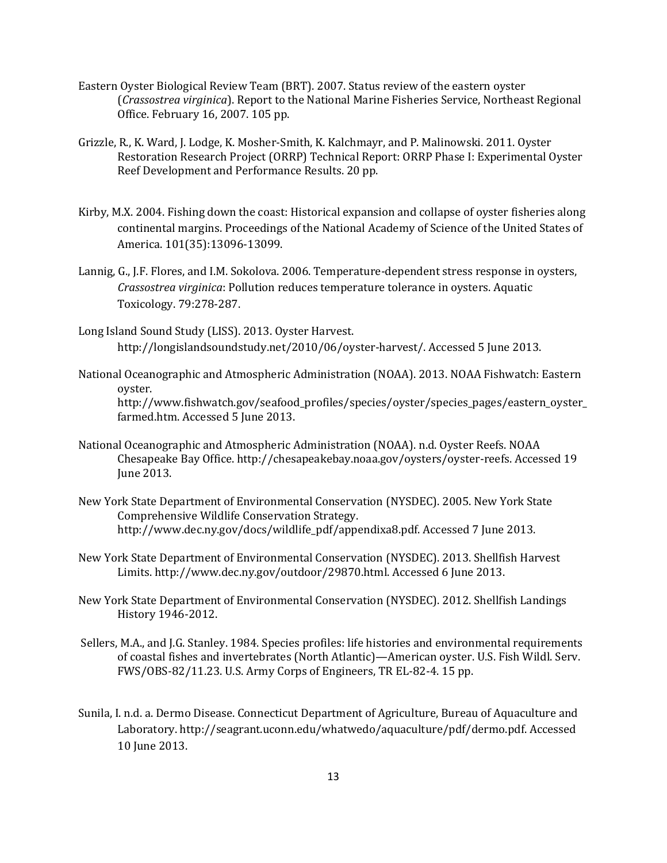- Eastern Oyster Biological Review Team (BRT). 2007. Status review of the eastern oyster (*Crassostrea virginica*). Report to the National Marine Fisheries Service, Northeast Regional Office. February 16, 2007. 105 pp.
- Grizzle, R., K. Ward, J. Lodge, K. Mosher-Smith, K. Kalchmayr, and P. Malinowski. 2011. Oyster Restoration Research Project (ORRP) Technical Report: ORRP Phase I: Experimental Oyster Reef Development and Performance Results. 20 pp.
- Kirby, M.X. 2004. Fishing down the coast: Historical expansion and collapse of oyster fisheries along continental margins. Proceedings of the National Academy of Science of the United States of America. 101(35):13096-13099.
- Lannig, G., J.F. Flores, and I.M. Sokolova. 2006. Temperature-dependent stress response in oysters, *Crassostrea virginica*: Pollution reduces temperature tolerance in oysters. Aquatic Toxicology. 79:278-287.
- Long Island Sound Study (LISS). 2013. Oyster Harvest. http://longislandsoundstudy.net/2010/06/oyster-harvest/. Accessed 5 June 2013.
- National Oceanographic and Atmospheric Administration (NOAA). 2013. NOAA Fishwatch: Eastern oyster.

http://www.fishwatch.gov/seafood\_profiles/species/oyster/species\_pages/eastern\_oyster\_ farmed.htm. Accessed 5 June 2013.

- National Oceanographic and Atmospheric Administration (NOAA). n.d. Oyster Reefs. NOAA Chesapeake Bay Office. http://chesapeakebay.noaa.gov/oysters/oyster-reefs. Accessed 19 June 2013.
- New York State Department of Environmental Conservation (NYSDEC). 2005. New York State Comprehensive Wildlife Conservation Strategy. http://www.dec.ny.gov/docs/wildlife\_pdf/appendixa8.pdf. Accessed 7 June 2013.
- New York State Department of Environmental Conservation (NYSDEC). 2013. Shellfish Harvest Limits. http://www.dec.ny.gov/outdoor/29870.html. Accessed 6 June 2013.
- New York State Department of Environmental Conservation (NYSDEC). 2012. Shellfish Landings History 1946-2012.
- Sellers, M.A., and J.G. Stanley. 1984. Species profiles: life histories and environmental requirements of coastal fishes and invertebrates (North Atlantic)—American oyster. U.S. Fish Wildl. Serv. FWS/OBS-82/11.23. U.S. Army Corps of Engineers, TR EL-82-4. 15 pp.
- Sunila, I. n.d. a. Dermo Disease. Connecticut Department of Agriculture, Bureau of Aquaculture and Laboratory. http://seagrant.uconn.edu/whatwedo/aquaculture/pdf/dermo.pdf. Accessed 10 June 2013.